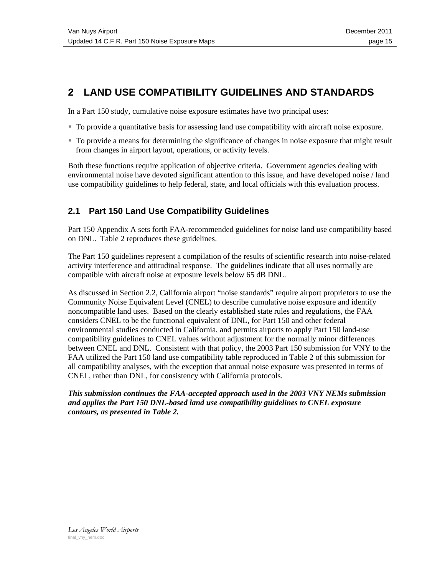# **2 LAND USE COMPATIBILITY GUIDELINES AND STANDARDS**

In a Part 150 study, cumulative noise exposure estimates have two principal uses:

- To provide a quantitative basis for assessing land use compatibility with aircraft noise exposure.
- To provide a means for determining the significance of changes in noise exposure that might result from changes in airport layout, operations, or activity levels.

Both these functions require application of objective criteria. Government agencies dealing with environmental noise have devoted significant attention to this issue, and have developed noise / land use compatibility guidelines to help federal, state, and local officials with this evaluation process.

## **2.1 Part 150 Land Use Compatibility Guidelines**

Part 150 Appendix A sets forth FAA-recommended guidelines for noise land use compatibility based on DNL. Table 2 reproduces these guidelines.

The Part 150 guidelines represent a compilation of the results of scientific research into noise-related activity interference and attitudinal response. The guidelines indicate that all uses normally are compatible with aircraft noise at exposure levels below 65 dB DNL.

As discussed in Section 2.2, California airport "noise standards" require airport proprietors to use the Community Noise Equivalent Level (CNEL) to describe cumulative noise exposure and identify noncompatible land uses. Based on the clearly established state rules and regulations, the FAA considers CNEL to be the functional equivalent of DNL, for Part 150 and other federal environmental studies conducted in California, and permits airports to apply Part 150 land-use compatibility guidelines to CNEL values without adjustment for the normally minor differences between CNEL and DNL. Consistent with that policy, the 2003 Part 150 submission for VNY to the FAA utilized the Part 150 land use compatibility table reproduced in Table 2 of this submission for all compatibility analyses, with the exception that annual noise exposure was presented in terms of CNEL, rather than DNL, for consistency with California protocols.

## *This submission continues the FAA-accepted approach used in the 2003 VNY NEMs submission and applies the Part 150 DNL-based land use compatibility guidelines to CNEL exposure contours, as presented in Table 2.*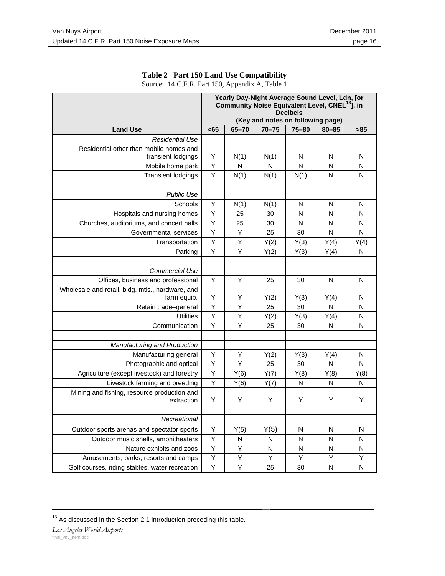|                                                  | Yearly Day-Night Average Sound Level, Ldn, [or<br>Community Noise Equivalent Level, CNEL <sup>13</sup> , in<br><b>Decibels</b><br>(Key and notes on following page) |                |              |              |           |              |
|--------------------------------------------------|---------------------------------------------------------------------------------------------------------------------------------------------------------------------|----------------|--------------|--------------|-----------|--------------|
| <b>Land Use</b>                                  | <65                                                                                                                                                                 | $65 - 70$      | $70 - 75$    | $75 - 80$    | $80 - 85$ | >85          |
| <b>Residential Use</b>                           |                                                                                                                                                                     |                |              |              |           |              |
| Residential other than mobile homes and          |                                                                                                                                                                     |                |              |              |           |              |
| transient lodgings                               | Y                                                                                                                                                                   | N(1)           | N(1)         | N            | N         | N            |
| Mobile home park                                 | Y                                                                                                                                                                   | N              | $\mathsf{N}$ | N            | N         | N            |
| <b>Transient lodgings</b>                        | $\overline{Y}$                                                                                                                                                      | N(1)           | N(1)         | N(1)         | N         | N            |
|                                                  |                                                                                                                                                                     |                |              |              |           |              |
| <b>Public Use</b>                                |                                                                                                                                                                     |                |              |              |           |              |
| Schools                                          | Υ                                                                                                                                                                   | N(1)           | N(1)         | N            | N         | N            |
| Hospitals and nursing homes                      | Y                                                                                                                                                                   | 25             | 30           | N            | N         | N            |
| Churches, auditoriums, and concert halls         | Υ                                                                                                                                                                   | 25             | 30           | N            | N         | N            |
| Governmental services                            | Y                                                                                                                                                                   | Y              | 25           | 30           | N         | N            |
| Transportation                                   | $\overline{Y}$                                                                                                                                                      | Y              | Y(2)         | Y(3)         | Y(4)      | Y(4)         |
| Parking                                          | Y                                                                                                                                                                   | Y              | Y(2)         | Y(3)         | Y(4)      | N            |
|                                                  |                                                                                                                                                                     |                |              |              |           |              |
| <b>Commercial Use</b>                            |                                                                                                                                                                     |                |              |              |           |              |
| Offices, business and professional               | Y                                                                                                                                                                   | Y              | 25           | 30           | N         | N            |
| Wholesale and retail, bldg. mtls., hardware, and |                                                                                                                                                                     |                |              |              |           |              |
| farm equip.                                      | Y                                                                                                                                                                   | Y              | Y(2)         | Y(3)         | Y(4)      | N            |
| Retain trade-general                             | $\overline{Y}$                                                                                                                                                      | $\overline{Y}$ | 25           | 30           | N         | $\mathsf{N}$ |
| <b>Utilities</b>                                 | Y                                                                                                                                                                   | Y              | Y(2)         | Y(3)         | Y(4)      | N            |
| Communication                                    | $\overline{Y}$                                                                                                                                                      | Y              | 25           | 30           | N         | N            |
|                                                  |                                                                                                                                                                     |                |              |              |           |              |
| Manufacturing and Production                     |                                                                                                                                                                     |                |              |              |           |              |
| Manufacturing general                            | Υ                                                                                                                                                                   | Υ              | Y(2)         | Y(3)         | Y(4)      | N            |
| Photographic and optical                         | Y                                                                                                                                                                   | Y              | 25           | 30           | N         | N            |
| Agriculture (except livestock) and forestry      | Y                                                                                                                                                                   | Y(6)           | Y(7)         | Y(8)         | Y(8)      | Y(8)         |
| Livestock farming and breeding                   | $\overline{Y}$                                                                                                                                                      | Y(6)           | Y(7)         | $\mathsf{N}$ | N         | $\mathsf{N}$ |
| Mining and fishing, resource production and      |                                                                                                                                                                     |                |              |              |           |              |
| extraction                                       | Y                                                                                                                                                                   | Y              | Y            | Y            | Y         | Y            |
|                                                  |                                                                                                                                                                     |                |              |              |           |              |
| Recreational                                     |                                                                                                                                                                     |                |              |              |           |              |
| Outdoor sports arenas and spectator sports       | Υ                                                                                                                                                                   | Y(5)           | Y(5)         | N            | N         | N            |
| Outdoor music shells, amphitheaters              | Υ                                                                                                                                                                   | N              | N            | N            | N         | N            |
| Nature exhibits and zoos                         | Y                                                                                                                                                                   | Y              | N            | N            | N         | N            |
| Amusements, parks, resorts and camps             | Y                                                                                                                                                                   | Υ              | Y            | Y            | Υ         | Υ            |
| Golf courses, riding stables, water recreation   | $\overline{Y}$                                                                                                                                                      | Y              | 25           | 30           | N         | N            |

### **Table 2 Part 150 Land Use Compatibility**

Source: 14 C.F.R. Part 150, Appendix A, Table 1

 $^{13}$  As discussed in the Section 2.1 introduction preceding this table.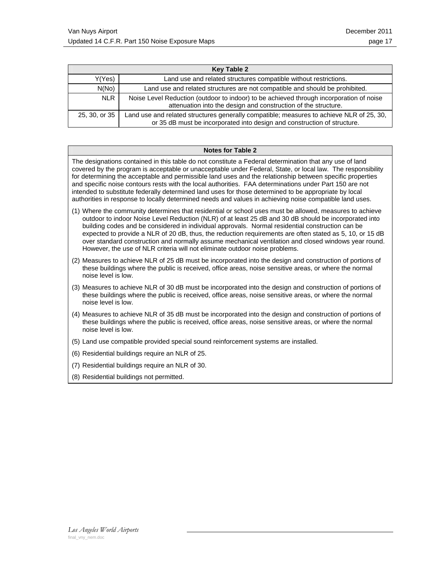| <b>Key Table 2</b> |                                                                                                                                                                      |  |  |  |
|--------------------|----------------------------------------------------------------------------------------------------------------------------------------------------------------------|--|--|--|
| Y(Yes)             | Land use and related structures compatible without restrictions.                                                                                                     |  |  |  |
| N(No)              | Land use and related structures are not compatible and should be prohibited.                                                                                         |  |  |  |
| <b>NLR</b>         | Noise Level Reduction (outdoor to indoor) to be achieved through incorporation of noise<br>attenuation into the design and construction of the structure.            |  |  |  |
| 25, 30, or 35      | Land use and related structures generally compatible; measures to achieve NLR of 25, 30,<br>or 35 dB must be incorporated into design and construction of structure. |  |  |  |

#### **Notes for Table 2**

The designations contained in this table do not constitute a Federal determination that any use of land covered by the program is acceptable or unacceptable under Federal, State, or local law. The responsibility for determining the acceptable and permissible land uses and the relationship between specific properties and specific noise contours rests with the local authorities. FAA determinations under Part 150 are not intended to substitute federally determined land uses for those determined to be appropriate by local authorities in response to locally determined needs and values in achieving noise compatible land uses.

- (1) Where the community determines that residential or school uses must be allowed, measures to achieve outdoor to indoor Noise Level Reduction (NLR) of at least 25 dB and 30 dB should be incorporated into building codes and be considered in individual approvals. Normal residential construction can be expected to provide a NLR of 20 dB, thus, the reduction requirements are often stated as 5, 10, or 15 dB over standard construction and normally assume mechanical ventilation and closed windows year round. However, the use of NLR criteria will not eliminate outdoor noise problems.
- (2) Measures to achieve NLR of 25 dB must be incorporated into the design and construction of portions of these buildings where the public is received, office areas, noise sensitive areas, or where the normal noise level is low.
- (3) Measures to achieve NLR of 30 dB must be incorporated into the design and construction of portions of these buildings where the public is received, office areas, noise sensitive areas, or where the normal noise level is low.
- (4) Measures to achieve NLR of 35 dB must be incorporated into the design and construction of portions of these buildings where the public is received, office areas, noise sensitive areas, or where the normal noise level is low.
- (5) Land use compatible provided special sound reinforcement systems are installed.
- (6) Residential buildings require an NLR of 25.
- (7) Residential buildings require an NLR of 30.
- (8) Residential buildings not permitted.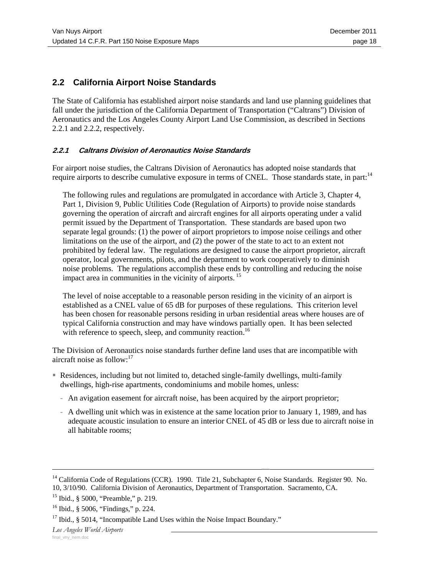## **2.2 California Airport Noise Standards**

The State of California has established airport noise standards and land use planning guidelines that fall under the jurisdiction of the California Department of Transportation ("Caltrans") Division of Aeronautics and the Los Angeles County Airport Land Use Commission, as described in Sections 2.2.1 and 2.2.2, respectively.

## **2.2.1 Caltrans Division of Aeronautics Noise Standards**

For airport noise studies, the Caltrans Division of Aeronautics has adopted noise standards that require airports to describe cumulative exposure in terms of CNEL. Those standards state, in part:<sup>14</sup>

The following rules and regulations are promulgated in accordance with Article 3, Chapter 4, Part 1, Division 9, Public Utilities Code (Regulation of Airports) to provide noise standards governing the operation of aircraft and aircraft engines for all airports operating under a valid permit issued by the Department of Transportation. These standards are based upon two separate legal grounds: (1) the power of airport proprietors to impose noise ceilings and other limitations on the use of the airport, and (2) the power of the state to act to an extent not prohibited by federal law. The regulations are designed to cause the airport proprietor, aircraft operator, local governments, pilots, and the department to work cooperatively to diminish noise problems. The regulations accomplish these ends by controlling and reducing the noise impact area in communities in the vicinity of airports. 15

The level of noise acceptable to a reasonable person residing in the vicinity of an airport is established as a CNEL value of 65 dB for purposes of these regulations. This criterion level has been chosen for reasonable persons residing in urban residential areas where houses are of typical California construction and may have windows partially open. It has been selected with reference to speech, sleep, and community reaction.<sup>16</sup>

The Division of Aeronautics noise standards further define land uses that are incompatible with aircraft noise as follow: $17$ 

- Residences, including but not limited to, detached single-family dwellings, multi-family dwellings, high-rise apartments, condominiums and mobile homes, unless:
	- An avigation easement for aircraft noise, has been acquired by the airport proprietor;
	- A dwelling unit which was in existence at the same location prior to January 1, 1989, and has adequate acoustic insulation to ensure an interior CNEL of 45 dB or less due to aircraft noise in all habitable rooms;

<sup>&</sup>lt;sup>14</sup> California Code of Regulations (CCR). 1990. Title 21, Subchapter 6, Noise Standards. Register 90. No. 10, 3/10/90. California Division of Aeronautics, Department of Transportation. Sacramento, CA.

<sup>15</sup> Ibid., § 5000, "Preamble," p. 219.

<sup>16</sup> Ibid., § 5006, "Findings," p. 224.

 $17$  Ibid., § 5014, "Incompatible Land Uses within the Noise Impact Boundary."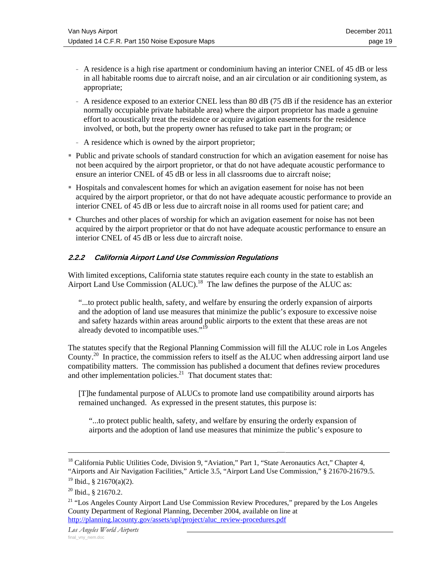- A residence is a high rise apartment or condominium having an interior CNEL of 45 dB or less in all habitable rooms due to aircraft noise, and an air circulation or air conditioning system, as appropriate;
- A residence exposed to an exterior CNEL less than 80 dB (75 dB if the residence has an exterior normally occupiable private habitable area) where the airport proprietor has made a genuine effort to acoustically treat the residence or acquire avigation easements for the residence involved, or both, but the property owner has refused to take part in the program; or
- A residence which is owned by the airport proprietor;
- Public and private schools of standard construction for which an avigation easement for noise has not been acquired by the airport proprietor, or that do not have adequate acoustic performance to ensure an interior CNEL of 45 dB or less in all classrooms due to aircraft noise;
- Hospitals and convalescent homes for which an avigation easement for noise has not been acquired by the airport proprietor, or that do not have adequate acoustic performance to provide an interior CNEL of 45 dB or less due to aircraft noise in all rooms used for patient care; and
- Churches and other places of worship for which an avigation easement for noise has not been acquired by the airport proprietor or that do not have adequate acoustic performance to ensure an interior CNEL of 45 dB or less due to aircraft noise.

## **2.2.2 California Airport Land Use Commission Regulations**

With limited exceptions, California state statutes require each county in the state to establish an Airport Land Use Commission (ALUC).<sup>18</sup> The law defines the purpose of the ALUC as:

"...to protect public health, safety, and welfare by ensuring the orderly expansion of airports and the adoption of land use measures that minimize the public's exposure to excessive noise and safety hazards within areas around public airports to the extent that these areas are not already devoted to incompatible uses."<sup>19</sup>

The statutes specify that the Regional Planning Commission will fill the ALUC role in Los Angeles County.<sup>20</sup> In practice, the commission refers to itself as the ALUC when addressing airport land use compatibility matters. The commission has published a document that defines review procedures and other implementation policies. $^{21}$  That document states that:

[T]he fundamental purpose of ALUCs to promote land use compatibility around airports has remained unchanged. As expressed in the present statutes, this purpose is:

"...to protect public health, safety, and welfare by ensuring the orderly expansion of airports and the adoption of land use measures that minimize the public's exposure to

<sup>&</sup>lt;sup>18</sup> California Public Utilities Code, Division 9, "Aviation," Part 1, "State Aeronautics Act," Chapter 4, "Airports and Air Navigation Facilities," Article 3.5, "Airport Land Use Commission," § 21670-21679.5.

 $19$  Ibid., § 21670(a)(2).

<sup>20</sup> Ibid., § 21670.2.

<sup>&</sup>lt;sup>21</sup> "Los Angeles County Airport Land Use Commission Review Procedures," prepared by the Los Angeles County Department of Regional Planning, December 2004, available on line at http://planning.lacounty.gov/assets/upl/project/aluc\_review-procedures.pdf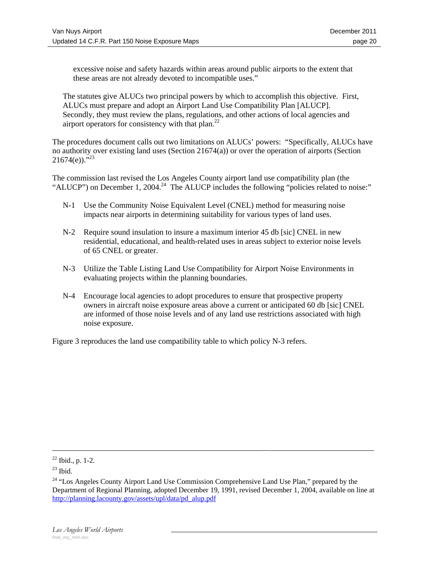excessive noise and safety hazards within areas around public airports to the extent that these areas are not already devoted to incompatible uses."

The statutes give ALUCs two principal powers by which to accomplish this objective. First, ALUCs must prepare and adopt an Airport Land Use Compatibility Plan [ALUCP]. Secondly, they must review the plans, regulations, and other actions of local agencies and airport operators for consistency with that plan.<sup>22</sup>

The procedures document calls out two limitations on ALUCs' powers: "Specifically, ALUCs have no authority over existing land uses (Section 21674(a)) or over the operation of airports (Section  $21674(e)$ ."<sup>23</sup>

The commission last revised the Los Angeles County airport land use compatibility plan (the "ALUCP") on December 1, 2004.<sup>24</sup> The ALUCP includes the following "policies related to noise:"

- N-1 Use the Community Noise Equivalent Level (CNEL) method for measuring noise impacts near airports in determining suitability for various types of land uses.
- N-2 Require sound insulation to insure a maximum interior 45 db [sic] CNEL in new residential, educational, and health-related uses in areas subject to exterior noise levels of 65 CNEL or greater.
- N-3 Utilize the Table Listing Land Use Compatibility for Airport Noise Environments in evaluating projects within the planning boundaries.
- N-4 Encourage local agencies to adopt procedures to ensure that prospective property owners in aircraft noise exposure areas above a current or anticipated 60 db [sic] CNEL are informed of those noise levels and of any land use restrictions associated with high noise exposure.

Figure 3 reproduces the land use compatibility table to which policy N-3 refers.

 $\frac{22 \text{ Ibid., p. 1-2.}}{22 \text{ Ibid., p. 1-2.}}$ 

 $23$  Ibid.

<sup>&</sup>lt;sup>24</sup> "Los Angeles County Airport Land Use Commission Comprehensive Land Use Plan," prepared by the Department of Regional Planning, adopted December 19, 1991, revised December 1, 2004, available on line at http://planning.lacounty.gov/assets/upl/data/pd\_alup.pdf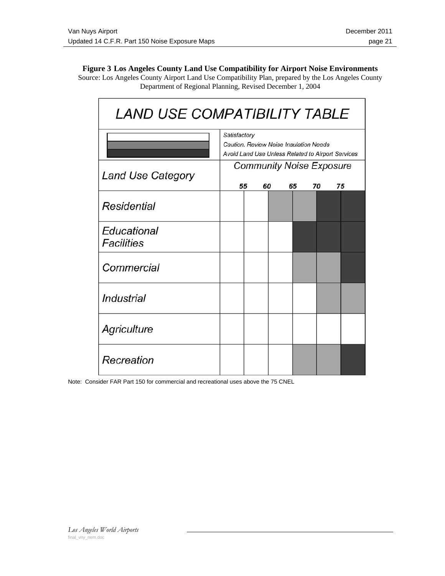### **Figure 3 Los Angeles County Land Use Compatibility for Airport Noise Environments**  Source: Los Angeles County Airport Land Use Compatibility Plan, prepared by the Los Angeles County Department of Regional Planning, Revised December 1, 2004

| <i>LAND USE COMPATIBILITY TABLE</i> |                                                                                                             |  |  |  |  |  |  |  |  |  |
|-------------------------------------|-------------------------------------------------------------------------------------------------------------|--|--|--|--|--|--|--|--|--|
|                                     | Satisfactory<br>Caution, Review Noise Insulation Needs<br>Avoid Land Use Unless Related to Airport Services |  |  |  |  |  |  |  |  |  |
| Land Use Category                   | <b>Community Noise Exposure</b><br>55<br>75<br>60<br>65<br>70                                               |  |  |  |  |  |  |  |  |  |
| Residential                         |                                                                                                             |  |  |  |  |  |  |  |  |  |
| Educational<br>Facilities           |                                                                                                             |  |  |  |  |  |  |  |  |  |
| Commercial                          |                                                                                                             |  |  |  |  |  |  |  |  |  |
| Industrial                          |                                                                                                             |  |  |  |  |  |  |  |  |  |
| Agriculture                         |                                                                                                             |  |  |  |  |  |  |  |  |  |
| Recreation                          |                                                                                                             |  |  |  |  |  |  |  |  |  |

Note: Consider FAR Part 150 for commercial and recreational uses above the 75 CNEL